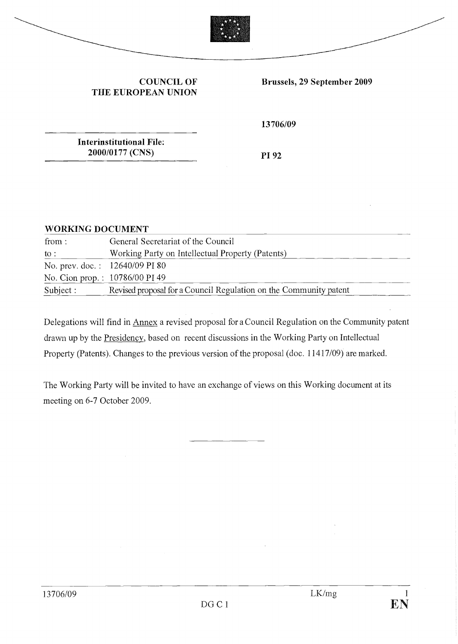

#### COUNCIL OF THE EUROPEAN UNION

Brussels, 29 September 2009

13706/09

Interinstitutional File: 2000/0177 (CNS)

PI 92

## WORKING DOCUMENT

| from:     | General Secretariat of the Council                                |
|-----------|-------------------------------------------------------------------|
| to :      | Working Party on Intellectual Property (Patents)                  |
|           | No. prev. doc.: 12640/09 PI 80                                    |
|           | No. Cion prop.: 10786/00 PI 49                                    |
| Subject : | Revised proposal for a Council Regulation on the Community patent |

Delegations will find in Annex a revised proposai for a Council Regulation on the Community patent drawn up by the Presidency, based on recent discussions in the Working Party on Intellectual Property (Patents). Changes to the previous version of the proposai (doc. 11417/09) are marked.

The Working Party will be invited to have an exchange of views on this Working document at its meeting on 6-7 October 2009.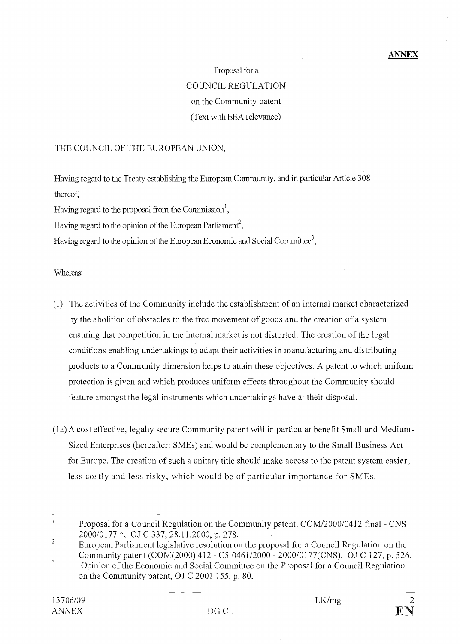#### ANNEX

# Proposai for a COUNCIL REGULATION on the Community patent (Text with EEA relevance)

#### THE COUNCIL OF THE EUROPEAN UNION,

Having regard to the Treaty establishing the European Community, and in particular Article 308 thereof,

Having regard to the proposal from the Commission<sup>1</sup>,

Having regard to the opinion of the European Parliament<sup>2</sup>,

Having regard to the opinion of the European Economic and Social Committee<sup>3</sup>,

#### Whereas:

- (1) The activities of the Community include the establishment of an internai market characterized by the abolition of obstacles to the free movement of goods and the creation of a system ensuring that competition in the internai market is not distorted. The creation of the legal conditions enabling undertakings to adapt their activities in manufacturing and distributing products to a Community dimension helps to attain these objectives. A patent to which uniform protection is given and which produces uniform effects throughout the Community should feature amongst the legal instruments which undertakings have at their disposai.
- (la) A cost effective, legally secure Community patent will in particular benefit Small and Medium-Sized Enterprises (hereafter: SMEs) and would be complementary to the Small Business Act for Europe. The creation of such a unitary title should make access to the patent system easier, less costly and less risky, which would be of particular importance for SMEs.

 $\mathbf{r}$ Proposai for a Council Regulation on the Community patent, COM/2000/0412 final - CNS 2000/0177\*, OJ C 337, 28.11.2000, p. 278.

<sup>&</sup>lt;sup>2</sup> European Parliament legislative resolution on the proposal for a Council Regulation on the Community patent (COM(2000) 412 - C5-0461/2000 - 2000/0177(CNS), OJ C 127, p. 526.

<sup>&</sup>lt;sup>3</sup> Opinion of the Economic and Social Committee on the Proposal for a Council Regulation on the Community patent, OJ C 2001 155, p. 80.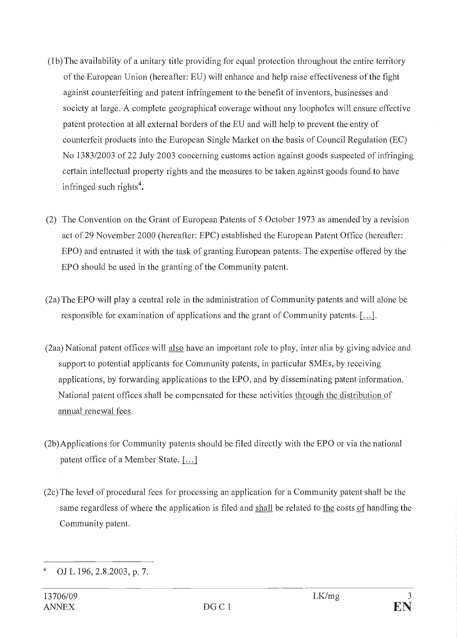- (1b)The availability of a unitary title providing for equal protection throughout the entire territory of the European Union (hereafter: EU) will enhance and help raise effectiveness of the fight against counterfeiting and patent infringement to the benefit of inventors, businesses and society at large. A complete geographical coverage without any loopholes will ensure effective patent protection at ail external borders of the EU and will help to prevent the entry of counterfeit products into the European Single Market on the basis of Council Regulation (EC) No 1383/2003 of 22 July 2003 concerning customs action against goods suspected of infringing certain intellectual property rights and the measures to be taken against goods found to have infringed such rights<sup>4</sup>.
- (2) The Convention on the Grant of European Patents of 5 October 1973 as amended by a revision act of 29 November 2000 (hereafter: EPC) established the European Patent Office (hereafter: EPO) and entrusted it with the task of granting European patents. The expertise offered by the EPO should be used in the granting of the Community patent.
- (2a) The EPO will play a central role in the administration of Community patents and will alone be responsible for examination of applications and the grant of Community patents. [...].
- (2aa) National patent offices will also have an important role to play, inter alia by giving advice and support to potential applicants for Community patents, in particular SMEs, by receiving applications, by forwarding applications to the EPO, and by disseminating patent information. National patent offices shall be compensated for these activities through the distribution of annual renewal fees.
- (2b)Applications for Community patents should be filed directly with the EPO or via the national patent office of a Member State. [...]
- (2c) The level of procedural fees for processing an application for a Community patent shall be the same regardless of where the application is filed and shall be related to the costs of handling the Community patent.

OJ L 196, 2.8.2003, p. 7.  $\frac{4}{3}$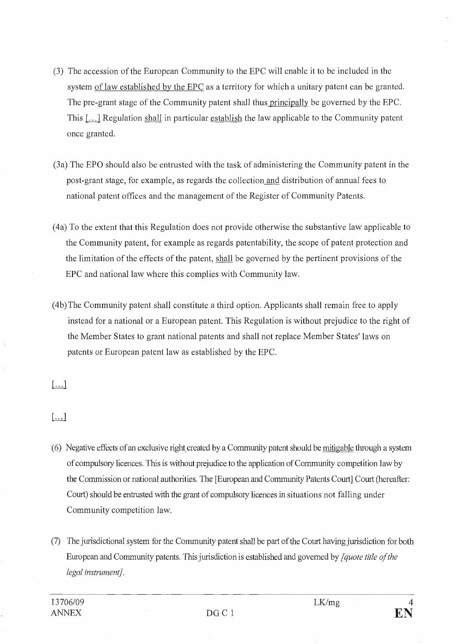- (3) The accession of the European Community to the EPC will enable it to be included in the system of law established by the EPC as a territory for which a unitary patent can be granted. The pre-grant stage of the Community patent shall thus principally be governed by the EPC. This  $[\dots]$  Regulation shall in particular establish the law applicable to the Community patent once granted.
- (3a) The EPO should also be entrusted with the task of administering the Community patent in the post-grant stage, for example, as regards the collection and distribution of annual fees to national patent offices and the management of the Register of Community Patents.
- To the extent that this Regulation does not provide otherwise the substantive law applicable to the Community patent, for example as regards patentability, the scope of patent protection and the limitation of the effects of the patent, shall be governed by the pertinent provisions of the EPC and national law where this complies with Community law.
- (4b) The Community patent shall constitute a third option. Applicants shall remain free to apply instead for a national or a European patent. This Regulation is without prejudice to the right of the Member States to grant national patents and shall not replace Member States' laws on patents or European patent law as established by the EPC.

 $\left[\ldots\right]$ 

 $[\dots]$ 

- Negative effects of an exclusive right created by a Community patent should be mitigable through a system of compulsory licences. This is without prejudice to the application of Community competition law by the Commission or national authorities. The [European and Community Patents Court] Court (hereatter: Court) should be entrusted with the grant of compulsory licences in situations not falling under Community competition law.
- The jurisdictional system for the Community patent shah l be part of the Court having jurisdiction for both European and Community patents. This jurisdiction is established and governed by *[quote title of the* Legal instrument].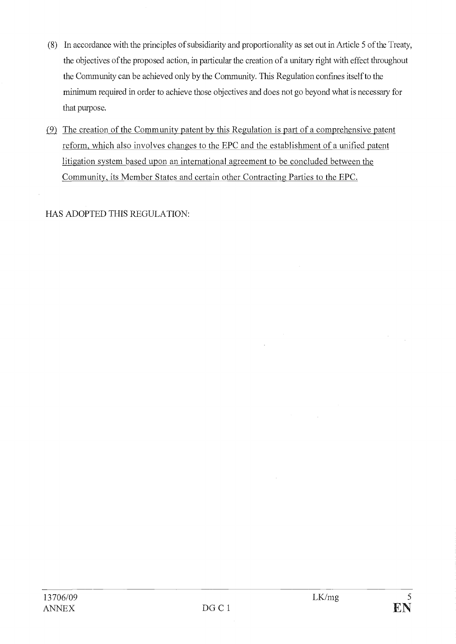- In accordance with the principles of subsidiarity and proportionality as set out in Article 5 of the Treaty, the objectives of the proposed action, in particular the creation of a unitary right with effect throughout the Community can be achieved only by the Community. This Regulation confines itself to the minimum required in order to achieve those objectives and does not go beyond what is necessary for that purpose.
- $(9)$  The creation of the Community patent by this Regulation is part of a comprehensive patent reform, which also involves changes to the EPC and the establishment of a unified patent litigation system based upon an international agreement to be concluded between the Community, its Member States and certain other Contracting Parties to the EPC.

HAS ADOPTED THIS REGULATION: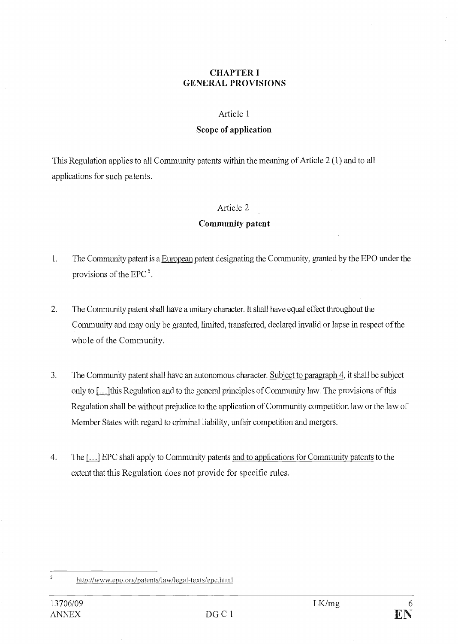## CHAPTER I GENERAL PROVISIONS

#### Article 1

#### Scope of application

This Regulation applies to ail Community patents within the meaning of Article 2 (1) and to ail applications for such patents.

#### Article 2

## Community patent

- 1. The Community patent is a European patent designating the Community, granted by the EPO under the provisions of the EPC $<sup>5</sup>$ .</sup>
- 2. The Community patent shall have a unitary character. It shall have equal effect throughout the Community and may only be granted, limited, transferred, declared invalid or lapse in respect of the whole of the Community.
- 3. The Community patent shall have an autonomous character. Subject to paragraph 4, it shall be subject only to [...1this Regulation and to the general principles of Community law. The provisions of this Regulation shall be without prejudice to the application of Community competition law or the law of Member States with regard to criminal liability, unfair competition and mergers.
- $4.$ The [...] EPC shall apply to Community patents and to applications for Community patents to the extent that this Regulation does not provide for specific rules.

<sup>&</sup>lt;sup>5</sup> http://www.epo.org/patents/law/legal-texts/epc.html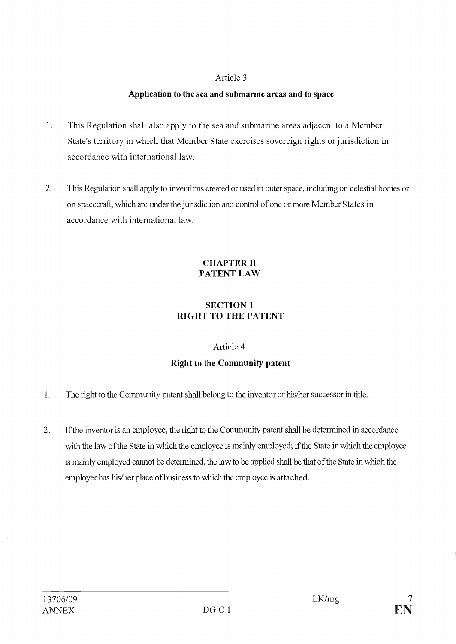# Application to the sea and submarine areas and to space

- $1.$ This Regulation shall also apply to the sea and submarine areas adjacent to a Member State's territory in which that Member State exercises sovereign rights or jurisdiction in accordance with international law.
- $2.$ This Regulation shall apply to inventions created or used in outer space, including on celestial bodies or on spacecraft, winch are under the jurisdiction and control of one or more Member States in accordance with international law.

# CHAPTER II PATENT LAW

# SECTION 1 RIGHT TO THE PATENT

# Article 4

# Right to the Community patent

- $1.$ The right to the Community patent shall belong to the inventor or his/her successor in title.
- $2<sup>1</sup>$ If the inventor is an employee, the right to the Community patent shall be determined in accordance with the law of the State in which the employee is mainly employed; if the State in which the employee is mainly employed cannot be determined, the law to be applied shall be that of the State in winch the employer has his/her place of business to which the employee is attached.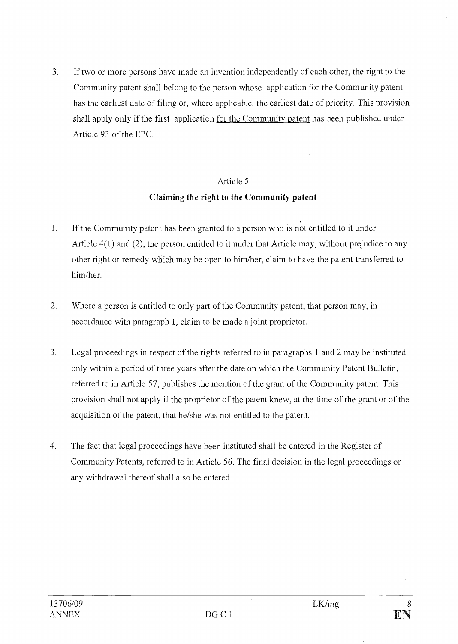3. If two or more persons have made an invention independently of each other, the right to the Community patent shall belong to the person whose application for the Community patent has the earliest date of filing or, where applicable, the earliest date of priority. This provision shall apply only if the first application for the Community patent has been published under Article 93 of the EPC.

#### Article 5

## Claiming the right to the Community patent

- $\mathbf{1}$ . If the Community patent has been granted to a person who is not entitled to it under Article 4(1) and (2), the person entitled to it under that Article may, without prejudice to any other right or remedy which may be open to him/her, claim to have the patent transferred to him/her.
- 2. Where a person is entitled to only part of the Community patent, that person may, in accordance with paragraph 1, claim to be made a joint proprietor.
- 3 Legal proceedings in respect of the rights referred to in paragraphs 1 and 2 may be instituted only within a period of three years after the date on which the Community Patent Bulletin, referred to in Article 57, publishes the mention of the grant of the Community patent. This provision shall not apply if the proprietor of the patent knew, at the time of the grant or of the acquisition of the patent, that he/she was not entitled to the patent.
- 4. The fact that legal proceedings have been instituted shall be entered in the Register of Community Patents, referred to in Article 56. The final decision in the legal proceedings or any withdrawal thereof shall also be entered.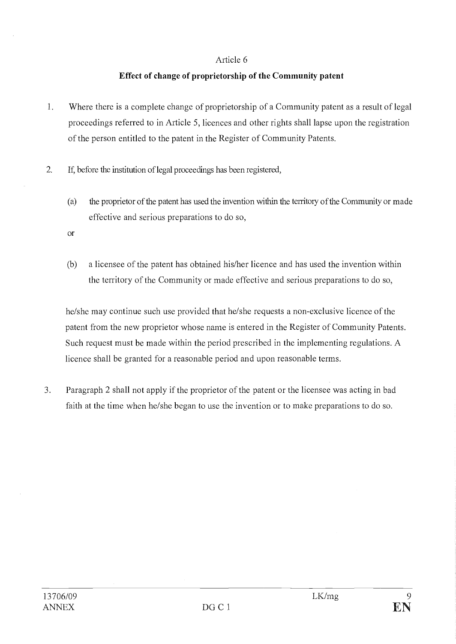# Effect of change of proprietorship of the Community patent

- 1. Where there is a complete change of proprietorship of a Community patent as a result of legal proceedings referred to in Article 5, licences and other rights shall lapse upon the registration of the person entitled to the patent in the Register of Community Patents.
- 2. If, before the institution of legal proceedings has been registered,
	- the proprietor of the patent has used the invention within the territory of the Community or made  $(a)$ effective and serious preparations to do so,
	- or
	- $(b)$ a licensee of the patent has obtained his/her licence and has used the invention within the territory of the Community or made effective and serious preparations to do so,

he/she may continue such use provided that he/she requests a non-exclusive licence of the patent from the new proprietor whose name is entered in the Register of Community Patents. Such request must be made within the period prescribed in the implementing regulations. A licence shall be granted for a reasonable period and upon reasonable terms.

3. Paragraph 2 shall not apply if the proprietor of the patent or the licensee was acting in bad faith at the time when he/she began to use the invention or to make preparations to do so.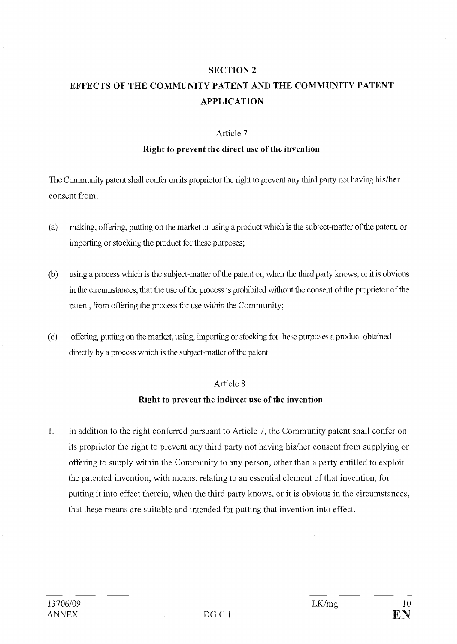#### SECTION 2

# EFFECTS OF THE COMMUNITY PATENT AND THE COMMUNITY PATENT APPLICATION

#### Article 7

#### Right to prevent the direct use of the invention

The Community patent shall confer on its proprietor the right to prevent any third party not having his/her consent from:

- making, offering, putting on the market or using a product which is the subject-matter of the patent, or  $(a)$ importing or stocking the product for these purposes;
- $(b)$ using a process which is the subject-matter of the patent or, when the third party knows, or it is obvious in the circumstances, that the use of the process is prohibited without the consent of the proprietor of the patent, from offering the process for use within the Community;
- $(c)$ offering, putting on the market, using, importing or stocking for these purposes a product obtained directly by a process which is the subject-matter of the patent.

#### Article 8

### Right to prevent the indirect use of the invention

1. In addition to the right conferred pursuant to Article 7, the Community patent shall confer on its proprietor the right to prevent any third party not having his/her consent from supplying or offering to supply within the Community to any person, other than a party entitled to exploit the patented invention, with means, relating to an essential element of that invention, for putting it into effect therein, when the third party knows, or it is obvious in the circumstances, that these means are suitable and intended for putting that invention into effect.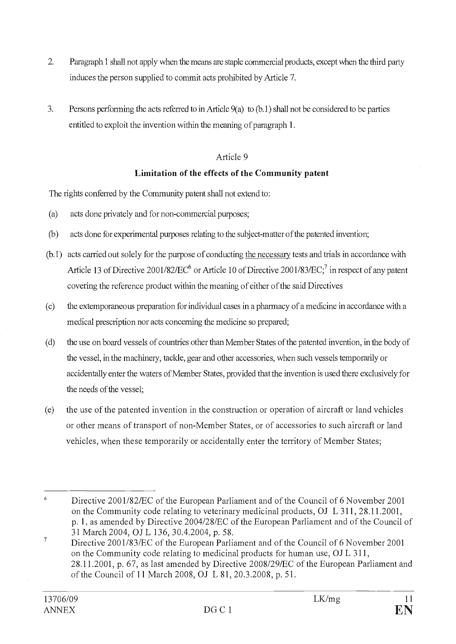- $2.$ Paragraph 1 shall not apply when the means are staple commercial products, except when the third party induces the person supplied to commit acts prohibited by Article 7.
- $3.$ Persons performing the acts referred to in Article  $9(a)$  to  $(b.1)$  shall not be considered to be parties entitled to exploit the invention within the meaning of paragraph 1.

# Limitation of the effects of the Community patent

The rights conferred by the Community patent shall not extend to:

- $(a)$ acts done privately and for non-commercial purposes;
- $(b)$ acts done for experimental purposes relating to the subject-matter of the patented invention;
- (b.1) acts carried out solely for the purpose of conducting the necessary tests and trials in accordance with Article 13 of Directive 2001/82/EC<sup>6</sup> or Article 10 of Directive 2001/83/EC;<sup>7</sup> in respect of any patent covering the reference product within the meaning of either of the said Directives
- the extemporaneous preparation for individual cases in a pharmacy of a medicine in accordance with a  $(c)$ medical prescription nor acts conceming the medicine so prepared;
- $(d)$ the use on board vessels of countries other than Member States of the patented invention, in the body of the vesse!, in the machinery, tackle, gear and other accessories, when such vessels temporarily or accidentally enter the waters of Member States, provided that the invention is used there exclusively for the needs of the vessel;
- $(e)$ the use of the patented invention in the construction or operation of aircraft or land vehicles or other means of transport of non-Member States, or of accessories to such aircraft or land vehicles, when these temporarily or accidentally enter the territory of Member States;

<sup>6</sup> Directive 2001/82/EC of the European Parliament and of the Council of 6 November 2001 on the Community code relating to veterinary medicinal products, OJ L 311, 28.11.2001, p. 1, as amended by Directive 2004/28/EC of the European Parliament and of the Council of 31 March 2004, OJ L 136, 30.4.2004, p. 58.

<sup>&</sup>lt;sup>7</sup> Directive 2001/83/EC of the European Parliament and of the Council of 6 November 2001 on the Community code relating to medicinal products for human use, OJ L 311, 28.11.2001, p. 67, as last amended by Directive 2008/29/EC of the European Parliament and of the Council of 11 March 2008, OJ L 81, 20.3.2008, p. 51.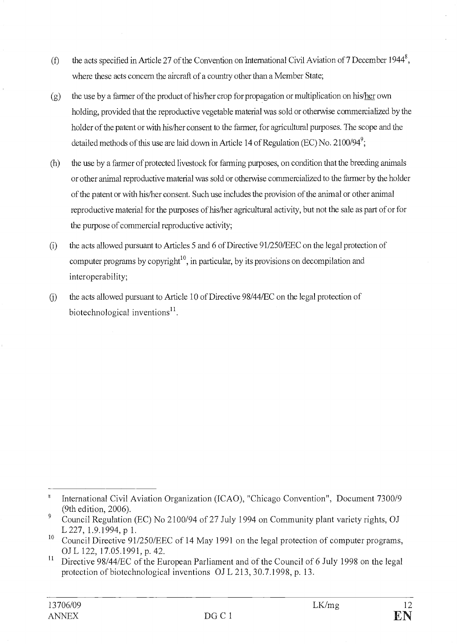- the acts specified in Article 27 of the Convention on International Civil Aviation of 7 December 1944<sup>8</sup>,  $(f)$ where these acts concern the aircrafl of a country other than a Member State;
- the use by a farmer of the product of his/her crop for propagation or multiplication on his/her own  $(g)$ holding, provided that the reproductive vegetable material was sold or otherwise commercialized by the holder of the patent or with his/her consent to the farmer, for agricultural purposes. The scope and the detailed methods of this use are laid down in Article 14 of Regulation (EC) No. 2100/94<sup>9</sup>;
- $(h)$ the use by a farmer of protected livestock for farming purposes, on condition that the breeding animais or other animal reproductive material was sold or otherwise commercialized to the farmer by the holder of the patent or with his/her consent. Such use includes the provision of the animal or other animal reproductive material for the purposes of his/her agricultural activity, but not the sale as part of or for the purpose of commercial reproductive activity;
- the acts allowed pursuant to Articles 5 and 6 of Directive 91/250/EEC on the legal protection of  $(i)$ computer programs by copyright<sup>10</sup>, in particular, by its provisions on decompilation and interoperability;
- the acts allowed pursuant to Article 10 of Directive 98/44/EC on the legal protection of  $(i)$ biotechnological inventions $^{11}$ .

<sup>8</sup> International Civil Aviation Organization (ICAO), "Chicago Convention", Document 7300/9 (9th edition, 2006).

 $\overline{9}$ Council Regulation (EC) No 2100/94 of 27 July 1994 on Community plant variety rights, OJ L 227, 1.9.1994, p 1.

<sup>&</sup>lt;sup>10</sup> Council Directive 91/250/EEC of 14 May 1991 on the legal protection of computer programs, Of L 122, 17.05.1991, p. 42.

 $\mathbf{11}$ Directive 98/44/EC of the European Parliament and of the Council of 6 July 1998 on the legal protection of biotechnological inventions OJ L 213, 30.7.1998, p. 13.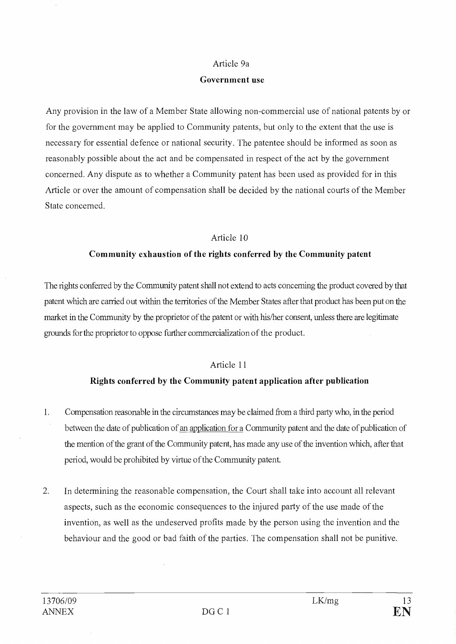#### Article 9a

#### Government use

Any provision in the law of a Member State allowing non-commercial use of national patents by or for the government may be applied to Community patents, but only to the extent that the use is necessary for essential defence or national security. The patentee should be informed as soon as reasonably possible about the act and be compensated in respect of the act by the government concerned. Any dispute as to whether a Community patent has been used as provided for in this Article or over the amount of compensation shall be decided by the national courts of the Member State concerned.

# Article 10

# Community exhaustion of the rights conferred by the Community patent

The rights conferred by the Community patent shah l not extend to acts conceming the product covered by that patent which are carried out within the territories of the Member States after that product has been put on the market in the Community by the proprietor of the patent or with his/her consent, unless there are legitimate grounds for the proprietor to oppose further commercialization of the product.

# Article 11

# Rights conferred by the Community patent application after publication

- $1.$ Compensation reasonable in the circumstances may be claimed from a third party who, in the period between the date of publication of an application for a Community patent and the date of publication of the mention of the grant of the Community patent, has made any use of the invention which, after that period, would be prohibited by virtue of the Community patent.
- $2.$ In determining the reasonable compensation, the Court shall take into account all relevant aspects, such as the economic consequences to the injured party of the use made of the invention, as well as the undeserved profits made by the person using the invention and the behaviour and the good or bad faith of the parties. The compensation shall not be punitive.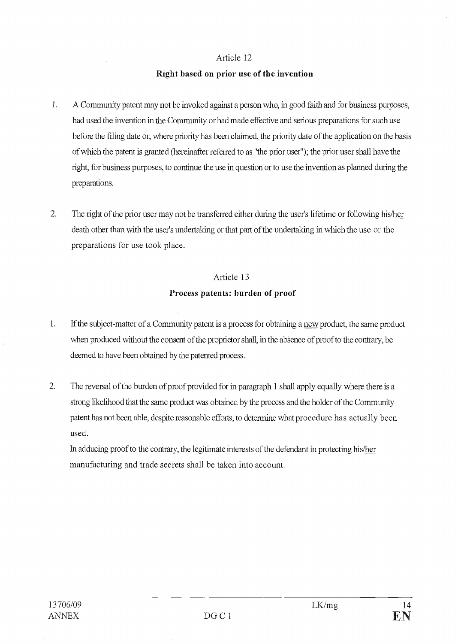#### Right based on prior use of the invention

- 1. A Community patent may not be invoked against a person who, in good faith and for business purposes, had used the invention in the Community or had made effective and serious preparations for such use before the filing date or, where priority has been claimed, the priority date of the application on the basis of which the patent is granted (hereinafter referred to as "the prior user"); the prior user shall have the right, for business purposes, to continue the use in question or to use the invention as planned during the preparations.
- $\overline{2}$ . The right of the prior user may not be transferred either during the user's lifetime or following his/her death other than with the user's undertaking or that part of the undertaking in winch the use or the preparations for use took place.

# Article 13 Process patents: burden of proof

- 1. If the subject-matter of a Community patent is a process for obtaining a new product, the same product when produced without the consent of the proprietor shall, in the absence of proof to the contrary, be deemed to have been obtained by the patented process.
- 2. The reversal of the burden of proof provided for in paragraph 1 shall apply equally where there is a strong likelihood that the same product was obtained by the process and the holder of the Community patent has not been able, despite reasonable efforts, to determine what procedure has actually been used.

In adducing proofto the contrary, the legitimate interests of the defendant in protecting his/her manufacturing and trade secrets shall be taken into account.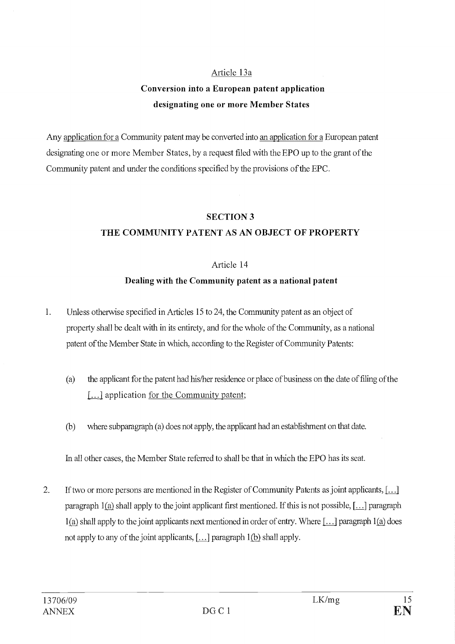# Article 13a

# Conversion into a European patent application designating one or more Member States

Any application for a Community patent may be converted into an application for a European patent designating one or more Member States, by a request filed with the EPO up to the grant of the Community patent and under the conditions specified by the provisions of the EPC.

#### SECTION 3

# THE COMMUNITY PATENT AS AN OBJECT OF PROPERTY

# Article 14

# Dealing with the Community patent as a national patent

- 1. Unless otherwise specified in Articles 15 to 24, the Community patent as an object of property shah be dealt with in its entirety, and for the whole of the Community, as a national patent of the Member State in which, according to the Register of Community Patents:
	- the applicant for the patent had his/her residence or place of business on the date of ftling of the  $(a)$ [...] application for the Community patent;
	- $(b)$ where subparagraph  $(a)$  does not apply, the applicant had an establishment on that date.

In all other cases, the Member State referred to shall be that in which the EPO has its seat.

2. If two or more persons are mentioned in the Register of Community Patents as joint applicants, [...1 paragraph  $1(a)$  shall apply to the joint applicant first mentioned. If this is not possible,  $[\dots]$  paragraph  $1(a)$  shall apply to the joint applicants next mentioned in order of entry. Where [...] paragraph  $1(a)$  does not apply to any of the joint applicants,  $[\dots]$  paragraph 1(b) shall apply.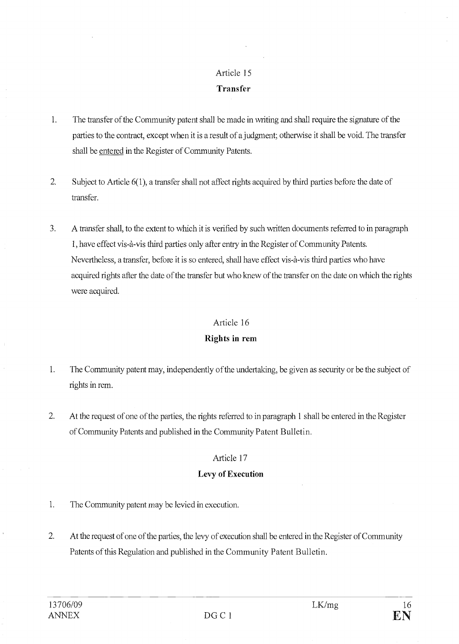# Transfer

- 1. The transfer of the Community patent shall be made in writing and shall require the signature of the parties to the contract, except when it is a result of a judgment; otherwise it shall be void. The transfer shall be entered in the Register of Community Patents.
- 2. Subject to Article 6(1), a transfer shall not affect rights acquired by third parties before the date of transfer.
- $\overline{3}$ . A transfer shall, to the extent to which it is verified by such written documents referred to in paragraph 1, have effect vis-à-vis third parties only atter entry in the Register of Community Patents. Nevertheless, a transfer, before it is so entered, shall have effect vis-à-vis third parties who have acquired rights after the date of the transfer but who knew of the transfer on the date on which the rights were acquired.

# Article 16

# Rights in rem

- $1.$ The Community patent may, independently of the undertaking, be given as security or be the subject of rights in rem.
- 2. At the request of one of the parties, the rights referred to in paragraph 1 shall be entered in the Register of Community Patents and published in the Community Patent Bulletin.

# Article 17

# Levy of Execution

- 1. The Community patent may be levied in execution.
- 2. At the request of one of the parties, the levy of execution shall be entered in the Register of Community Patents of this Regulation and published in the Community Patent Bulletin.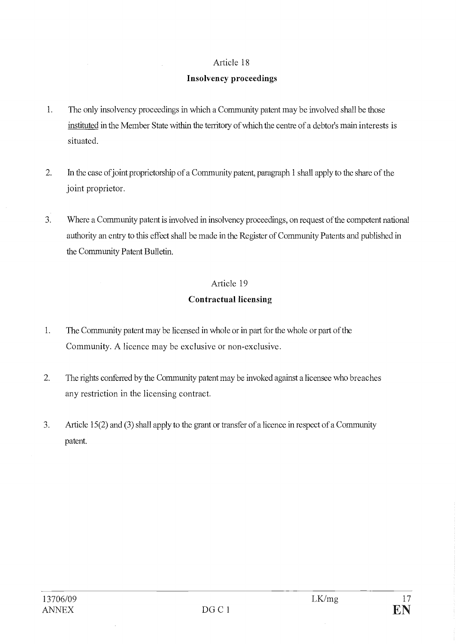# Insolvency proceedings

- $\overline{1}$ . The only insolvency proceedings in which a Community patent may be involved shall be those instituted in the Member State within the territory of which the centre of a debtor's main interests is situated.
- $2.$ In the case of joint proprietorship of a Community patent, paragraph 1 shall apply to the share of the joint proprietor.
- $3.$ Where a Community patent is involved in insolvency proceedings, on request of the competent national authority an entry to this effect shall be made in the Register of Community Patents and published in the Community Patent Bulletin.

# Article 19

# Contractual licensing

- 1. The Community patent may be licensed in whole or in part for the whole or part of the Community. A licence may be exclusive or non-exclusive.
- $\overline{2}$ . The rights conferred by the Community patent may be invoked against a licensee who breaches any restriction in the licensing contract.
- $3.$ Article 15(2) and (3) shall apply to the grant or transfer of a licence in respect of a Community patent.

 $\mathcal{A}^{\mathcal{A}}$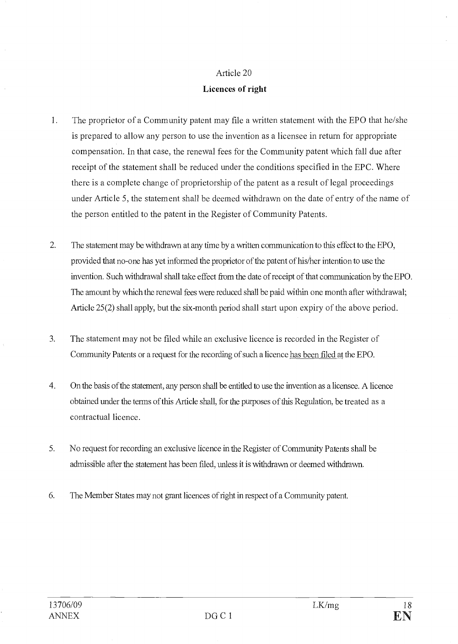## Licences of right

- 1. The proprietor of a Community patent may file a written statement with the EPO that he/she is prepared to allow any person to use the invention as a licensee in return for appropriate compensation. In that case, the renewal fees for the Community patent which fall due after receipt of the statement shall be reduced under the conditions specified in the EPC. Where there is a complete change of proprietorship of the patent as a result of legal proceedings under Article 5, the statement shall be deemed withdrawn on the date of entry of the name of the person entitled to the patent in the Register of Community Patents.
- $2.$ The statement may be withdrawn at any lime by a written communication to this effect to the EPO, provided that no-one has yet informed the proprietor of the patent of his/her intention to use the invention. Such withdrawal shall take effect from the date of receipt of that communication by the EPO. The amount by winch the renewal fees were reduced shall be paid within one month after withdrawal; Article  $25(2)$  shall apply, but the six-month period shall start upon expiry of the above period.
- $3.$ The statement may not be filed while an exclusive licence is recorded in the Register of Community Patents or a request for the recording of such a licence has been filed at the EPO.
- $4.$ On the basis of the statement, any person shall be entitled to use the invention as a licensee. A licence obtained under the terms of this Article shah, for the purposes of this Regulation, be treated as a contractual licence.
- 5. No request for recording an exclusive licence in the Register of Community Patents shall be admissible alter the statement has been flled, unless it is withdrawn or deemed vvithdrawn.
- 6. The Member States may not grant licences of right in respect of a Community patent.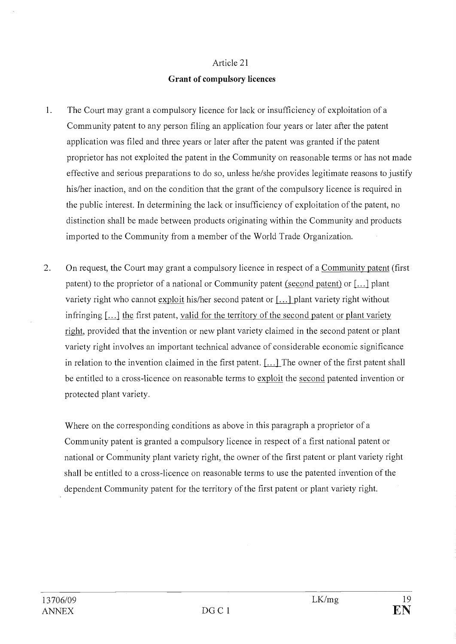## Grant of compulsory licences

- 1. The Court may grant a compulsory licence for lack or insufficiency of exploitation of a Community patent to any person filing an application four years or later after the patent application was filed and three years or later after the patent was granted if the patent proprietor has not exploited the patent in the Community on reasonable terms or has not made effective and serious preparations to do so, unless he/she provides legitimate reasons to justify his/her inaction, and on the condition that the grant of the compulsory licence is required in the public interest. In determining the lack or insufficiency of exploitation of the patent, no distinction shall be made between products originating within the Community and products imported to the Community from a member of the World Trade Organization.
- $\overline{2}$ . On request, the Court may grant a compulsory licence in respect of a Community patent (first patent) to the proprietor of a national or Community patent (second patent) or  $[\dots]$  plant variety right who cannot exploit his/her second patent or [...] plant variety right without infringing [...] the first patent, valid for the territory of the second patent or plant variety right, provided that the invention or new plant variety claimed in the second patent or plant variety right involves an important technical advance of considerable economic significance in relation to the invention claimed in the first patent. [...] The owner of the first patent shall be entitled to a cross-licence on reasonable terms to exploit the second patented invention or protected plant variety.

Where on the corresponding conditions as above in this paragraph a proprietor of a Community patent is granted a compulsory licence in respect of a first national patent or national or Community plant variety right, the owner of the first patent or plant variety right shall be entitled to a cross-licence on reasonable terms to use the patented invention of the dependent Community patent for the territory of the first patent or plant variety right.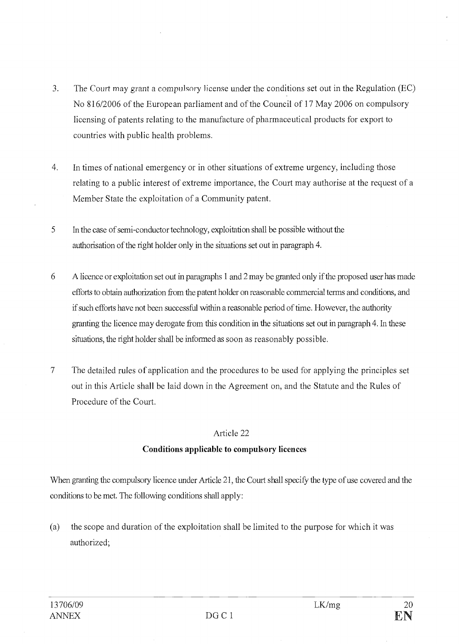- $3.$ The Court may grant a compulsory license under the conditions set out in the Regulation (EC) No 816/2006 of the European parliament and of the Council of 17 May 2006 on compulsory licensing of patents relating to the manufacture of pharmaceutical products for export to countries with public health problems.
- $4.$ In times of national emergency or in other situations of extreme urgency, including those relating to a public interest of extreme importance, the Court may authorise at the request of a Member State the exploitation of a Community patent.
- 5 In the case of semi-conductor technology, exploitation shall be possible without the authorisation of the right holder only in the situations set out in paragraph 4.
- 6 A licence or exploitation set out in paragraphs 1 and 2 may be granted only if the proposed user lias made efforts to obtain authorization from the patent holder on reasonable commercial ternis and conditions, and if such efforts have not been successful within a reasonable period of time. However, the authority granting the licence may derogate from this condition in the situations set out in paragraph 4. In these situations, the right holder shall be informed as soon as reasonably possible.
- 7 The detailed rules of application and the procedures to be used for applying the principles set out in this Article shall be laid down in the Agreement on, and the Statute and the Rules of Procedure of the Court.

# Conditions applicable to compulsory licences

When granting the compulsory licence under Article 21, the Court shall specify the type of use covered and the conditions to be met. The following conditions shall apply:

(a) the scope and duration of the exploitation shall be limited to the purpose for which it was authorized;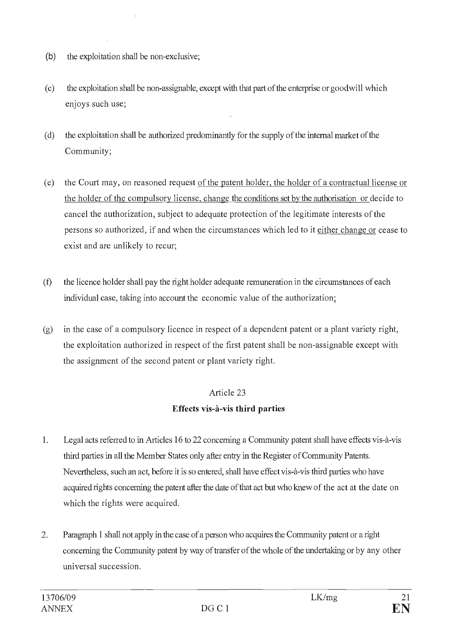- $(b)$ the exploitation shall be non-exclusive;
- $(c)$ the exploitation shall be non-assignable, except with that part of the enterprise or goodwill which enjoys such use;
- the exploitation shall be authorized predominantly for the supply of the internal market of the  $(d)$ Community;
- $(e)$ the Court may, on reasoned request of the patent holder, the holder of a contractual license or the holder of the compulsory license, change the conditions set by the authorisation or decide to cancel the authorization, subject to adequate protection of the legitimate interests of the persons so authorized, if and when the circumstances which led to it either change or cease to exist and are unlikely to recur;
- $(f)$ the licence holder shall pay the right holder adequate remuneration in the circumstances of each individual case, taking into account the economic value of the authorization;
- in the case of a compulsory licence in respect of a dependent patent or a plant variety right,  $(g)$ the exploitation authorized in respect of the first patent shall be non-assignable except with the assignment of the second patent or plant variety right.

# Article 23 Effects vis-à-vis third parties

- 1. Legal acts referred to in Articles 16 to 22 concerning a Community patent shall have effects vis-à-vis third parties in all the Member States only after entry in the Register of Community Patents. Nevertheless, such an act, before it is so entered, shall have effect vis-à-vis third parties who have acquired rights concerning the patent after the date of that act but who knew of the act at the date on which the rights were acquired.
- Paragraph 1 shall not apply in the case of a person who acquires the Community patent or a right 2. concerning the Community patent by way of transfer of the whole of the undertaking or by any other universal succession.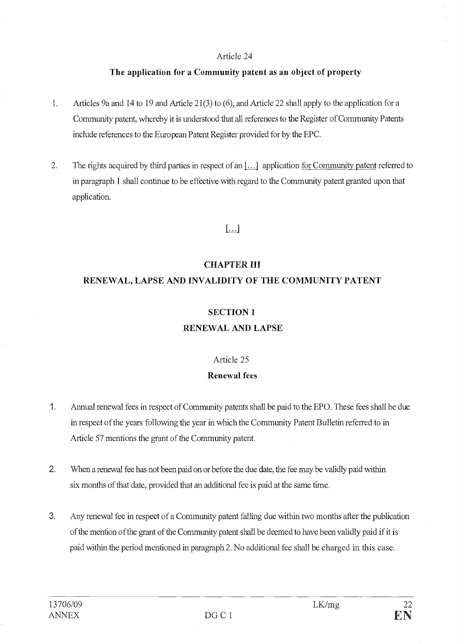#### The application for a Community patent as an object of property

- 1. Articles 9a and 14 to 19 and Article 21(3) to (6), and Article 22 shall apply to the application for a Community patent, whereby it is understood that ail references to the Register of Community Patents include references to the European Patent Register provided for by the EPC.
- The rights acquired by third parties in respect of an  $[\dots]$  application for Community patent referred to  $2.$ in paragraph 1 shah continue to be effective with regard to the Community patent granted upon that application.

# $\lfloor \ldots \rfloor$

# CHAPTER III

# RENEWAL, LAPSE AND INVALIDITY OF THE COMMUNITY PATENT

## SECTION 1

## RENEWAL AND LAPSE

## Article 25

## Renewal fees

- 1. Annual renewal fees in respect of Community patents shall be paid to the EPO. These fees shall be due in respect of the years following the year in winch the Community Patent Bulletin referred to in Article 57 mentions the grant of the Community patent.
- 2. When a renewal fee has not been paid on or before the due date, the fee may be validly paid within six months of that date, provided that an additional fee is paid at the same time.
- $3<sup>1</sup>$ Any renewal fee in respect of a Community patent falling due within two months after the publication of the mention of the grant of the Community patent shall be deemed to have been validly paid if it is paid within the period mentioned in paragraph 2. No additional fee shah be charged in this case.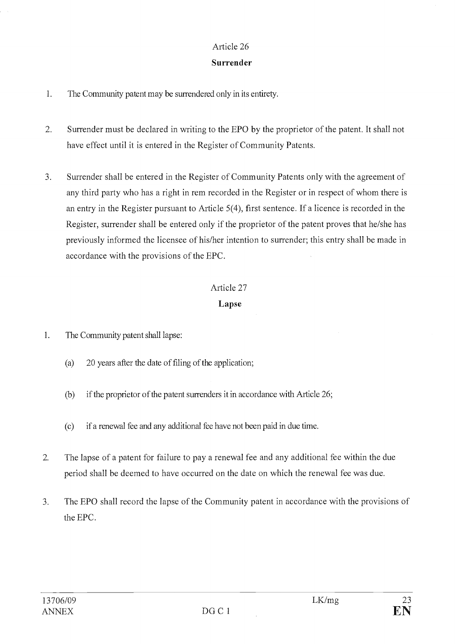## Surrender

- $\mathbf{1}$ . The Community patent may be surrendered only in its entirety.
- $2.$ Surrender must be declared in writing to the EPO by the proprietor of the patent. It shall not have effect until it is entered in the Register of Community Patents.
- $\overline{3}$ . Surrender shall be entered in the Register of Community Patents only with the agreement of any third party who has a right in rem recorded in the Register or in respect of whom there is an entry in the Register pursuant to Article 5(4), first sentence. If a licence is recorded in the Register, surrender shall be entered only if the proprietor of the patent proves that he/she has previously informed the licensee of his/her intention to surrender; this entry shall be made in accordance with the provisions of the EPC.

#### Article 27

# Lapse

- 1. The Community patent shall lapse:
	- 20 years after the date of filing of the application;  $(a)$
	- $(b)$ if the proprietor of the patent surrenders it in accordance with Article 26;
	- if a renewal fee and any additional fee have not been paid in due time.  $(c)$
- 2. The lapse of a patent for failure to pay a renewal fee and any additional fee within the due period shall be deemed to have occurred on the date on which the renewal fee was due.
- 3. The EPO shall record the lapse of the Community patent in accordance with the provisions of the EPC.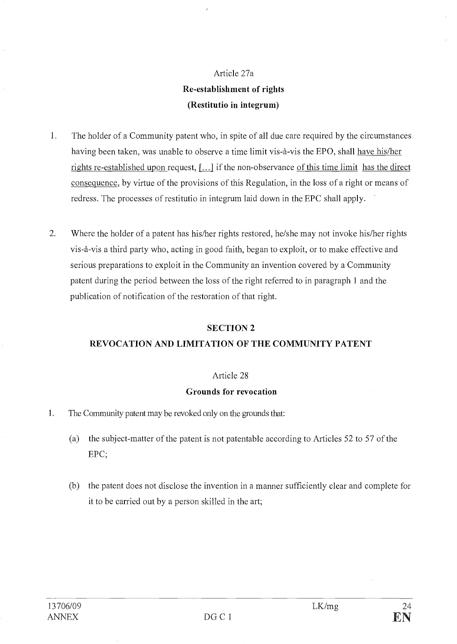# Article 27a Re-establishment of rights (Restitutio in integrum)

- 1. The holder of a Community patent who, in spite of ail due care required by the circumstances having been taken, was unable to observe a time limit vis-à-vis the EPO, shall have his/her rights re-established upon request, [...] if the non-observance of this time limit has the direct consequence, by virtue of the provisions of this Regulation, in the loss of a right or means of redress. The processes of restitutio in integrum laid down in the EPC shall apply.
- $2.$ Where the holder of a patent has his/her rights restored, he/she may not invoke his/her rights vis-à-vis a third party who, acting in good faith, began to exploit, or to make effective and serious preparations to exploit in the Community an invention covered by a Community patent during the period between the loss of the right referred to in paragraph 1 and the publication of notification of the restoration of that right.

# SECTION 2

# REVOCATION AND LIMITATION OF THE COMMUNITY PATENT

### Article 28

### Grounds for revocation

- 1. The Community patent may be revoked only on the grounds that:
	- $(a)$ the subject-matter of the patent is not patentable according to Articles 52 to 57 of the EPC;
	- (b) the patent does not disclose the invention in a manner sufficiently clear and complete for it to be carried out by a person skilled in the art;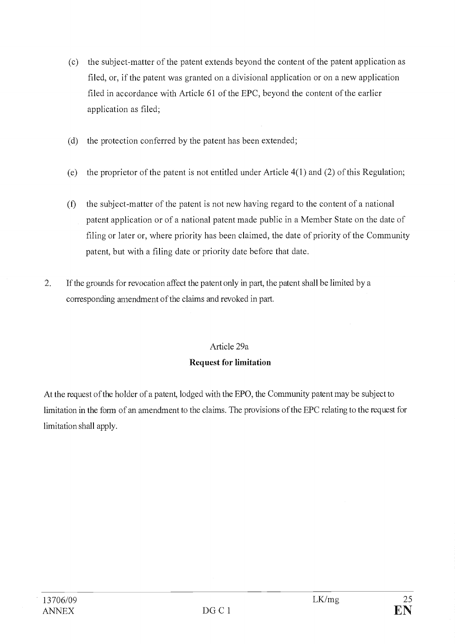- the subject-matter of the patent extends beyond the content of the patent application as  $(c)$ filed, or, if the patent was granted on a divisional application or on a new application filed in accordance with Article 61 of the EPC, beyond the content of the earlier application as filed;
- $(d)$ the protection conferred by the patent has been extended;
- the proprietor of the patent is not entitled under Article 4(1) and (2) of this Regulation;  $(e)$
- the subject-matter of the patent is not new having regard to the content of a national  $(f)$ patent application or of a national patent made public in a Member State on the date of filing or later or, where priority has been claimed, the date of priority of the Community patent, but with a filing date or priority date before that date.
- 2. If the grounds for revocation affect the patent only in part, the patent shall be limited by a corresponding amendment of the daims and revoked in part.

# Article 29a

# Request for limitation

At the request of the holder of a patent, lodged with the EPO, the Community patent may be subject to limitation in the form of an amendment to the claims. The provisions of the EPC relating to the request for limitation shall apply.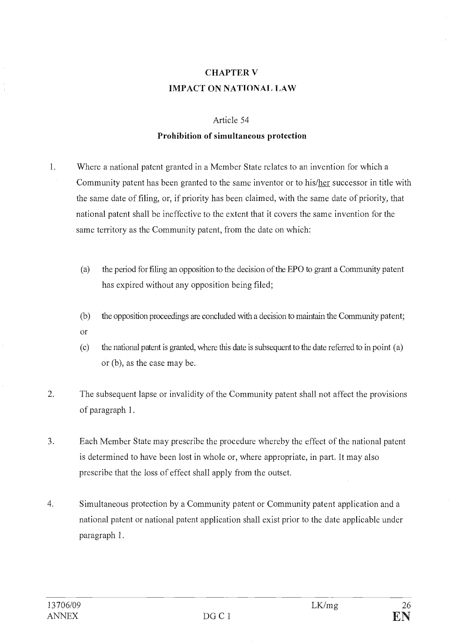# CHAPTER V IMPACT ON NATIONAL I,AW

#### Article 54

### Prohibition of simultaneous protection

- 1. Where a national patent granted in a Member State relates to an invention for which a Community patent has been granted to the same inventor or to his/her successor in title with the same date of filing, or, if priority has been claimed, with the same date of priority, that national patent shall be ineffective to the extent that it covers the same invention for the same territory as the Community patent, from the date on which:
	- $(a)$ the period for filing an opposition to the decision of the EPO to grant a Community patent has expired without any opposition being filed;
	- the opposition proceedings are concluded with a decision to maintain the Community patent;  $(b)$ Or
	- the national patent is granted, where this date is subsequent to the date referred to in point (a)  $(c)$ or (b), as the case may be.
- 2. The subsequent lapse or invalidity of the Community patent shall not affect the provisions of paragraph 1.
- 3. Each Member State may prescribe the procedure whereby the effect of the national patent is determined to have been lost in whole or, where appropriate, in part. It may also prescribe that the loss of effect shall apply from the outset.
- 4. Simultaneous protection by a Community patent or Community patent application and a national patent or national patent application shall exist prior to the date applicable under paragraph 1.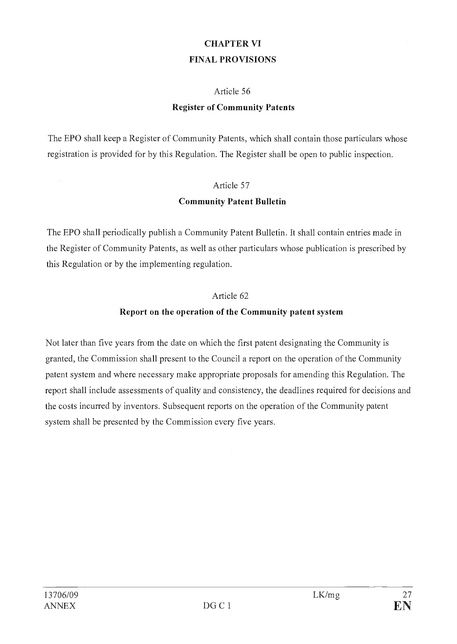# CHAPTER VI FINAL PROVISIONS

# Article 56

# Register of Community Patents

The EPO shall keep a Register of Community Patents, which shall contain those particulars whose registration is provided for by this Regulation. The Register shall be open to public inspection.

# Article 57

# Community Patent Bulletin

The EPO shall periodically publish a Community Patent Bulletin. It shall contain entries made in the Register of Community Patents, as well as other particulars whose publication is prescribed by this Regulation or by the implementing regulation.

# Article 62

# Report on the operation of the Community patent system

Not later than five years from the date on which the first patent designating the Community is granted, the Commission shall present to the Council a report on the operation of the Community patent system and where necessary make appropriate proposals for amending this Regulation. The report shall include assessments of quality and consistency, the deadlines required for decisions and the costs incurred by inventors. Subsequent reports on the operation of the Community patent system shall be presented by the Commission every five years.